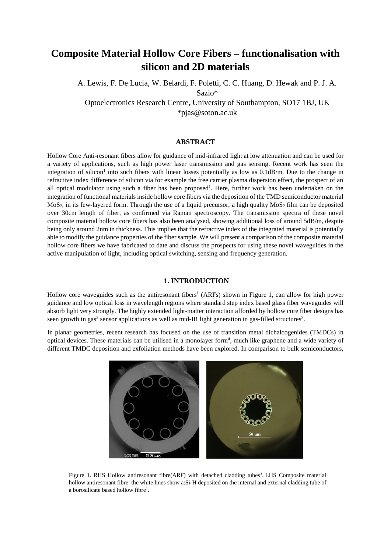# **Composite Material Hollow Core Fibers – functionalisation with silicon and 2D materials**

A. Lewis, F. De Lucia, W. Belardi, F. Poletti, C. C. Huang, D. Hewak and P. J. A. Sazio\*

Optoelectronics Research Centre, University of Southampton, SO17 1BJ, UK \*pjas@soton.ac.uk

## **ABSTRACT**

Hollow Core Anti-resonant fibers allow for guidance of mid-infrared light at low attenuation and can be used for a variety of applications, such as high power laser transmission and gas sensing. Recent work has seen the integration of silicon<sup>1</sup> into such fibers with linear losses potentially as low as  $0.1$ dB/m. Due to the change in refractive index difference of silicon via for example the free carrier plasma dispersion effect, the prospect of an all optical modulator using such a fiber has been proposed<sup>1</sup>. Here, further work has been undertaken on the integration of functional materials inside hollow core fibers via the deposition of the TMD semiconductor material  $MoS<sub>2</sub>$ , in its few-layered form. Through the use of a liquid precursor, a high quality  $MoS<sub>2</sub>$  film can be deposited over 30cm length of fiber, as confirmed via Raman spectroscopy. The transmission spectra of these novel composite material hollow core fibers has also been analysed, showing additional loss of around 5dB/m, despite being only around 2nm in thickness. This implies that the refractive index of the integrated material is potentially able to modify the guidance properties of the fiber sample. We will present a comparison of the composite material hollow core fibers we have fabricated to date and discuss the prospects for using these novel waveguides in the active manipulation of light, including optical switching, sensing and frequency generation.

## **1. INTRODUCTION**

Hollow core waveguides such as the antiresonant fibers 1 (ARFs) shown in Figure 1, can allow for high power guidance and low optical loss in wavelength regions where standard step index based glass fiber waveguides will absorb light very strongly. The highly extended light-matter interaction afforded by hollow core fiber designs has seen growth in gas<sup>2</sup> sensor applications as well as mid-IR light generation in gas-filled structures<sup>3</sup>.

In planar geometries, recent research has focused on the use of transition metal dichalcogenides (TMDCs) in optical devices. These materials can be utilised in a monolayer form<sup>4</sup> , much like graphene and a wide variety of different TMDC deposition and exfoliation methods have been explored. In comparison to bulk semiconductors,



Figure 1. RHS Hollow antiresonant fibre(ARF) with detached cladding tubes<sup>3</sup>. LHS Composite material hollow antiresonant fibre: the white lines show a:Si-H deposited on the internal and external cladding tube of a borosilicate based hollow fibre<sup>1</sup>.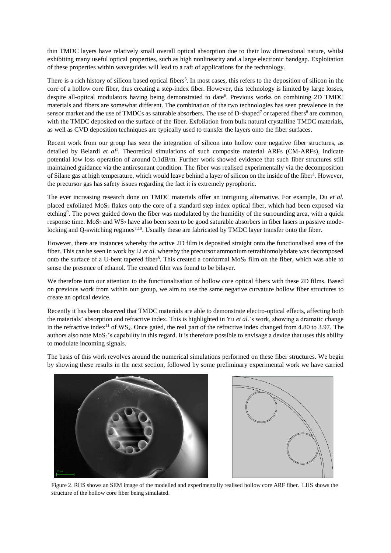thin TMDC layers have relatively small overall optical absorption due to their low dimensional nature, whilst exhibiting many useful optical properties, such as high nonlinearity and a large electronic bandgap. Exploitation of these properties within waveguides will lead to a raft of applications for the technology.

There is a rich history of silicon based optical fibers<sup>5</sup>. In most cases, this refers to the deposition of silicon in the core of a hollow core fiber, thus creating a step-index fiber. However, this technology is limited by large losses, despite all-optical modulators having being demonstrated to date<sup>6</sup>. Previous works on combining 2D TMDC materials and fibers are somewhat different. The combination of the two technologies has seen prevalence in the sensor market and the use of TMDCs as saturable absorbers. The use of D-shaped<sup>7</sup> or tapered fibers<sup>8</sup> are common, with the TMDC deposited on the surface of the fiber. Exfoliation from bulk natural crystalline TMDC materials, as well as CVD deposition techniques are typically used to transfer the layers onto the fiber surfaces.

Recent work from our group has seen the integration of silicon into hollow core negative fiber structures, as detailed by Belardi et al<sup>1</sup>. Theoretical simulations of such composite material ARFs (CM-ARFs), indicate potential low loss operation of around 0.1dB/m. Further work showed evidence that such fiber structures still maintained guidance via the antiresonant condition. The fiber was realised experimentally via the decomposition of Silane gas at high temperature, which would leave behind a layer of silicon on the inside of the fiber<sup>1</sup>. However, the precursor gas has safety issues regarding the fact it is extremely pyrophoric.

The ever increasing research done on TMDC materials offer an intriguing alternative. For example, Du *et al.* placed exfoliated MoS<sup>2</sup> flakes onto the core of a standard step index optical fiber, which had been exposed via etching<sup>9</sup>. The power guided down the fiber was modulated by the humidity of the surrounding area, with a quick response time.  $MoS<sub>2</sub>$  and  $WS<sub>2</sub>$  have also been seen to be good saturable absorbers in fiber lasers in passive modelocking and Q-switching regimes<sup>7,10</sup>. Usually these are fabricated by TMDC layer transfer onto the fiber.

However, there are instances whereby the active 2D film is deposited straight onto the functionalised area of the fiber. This can be seen in work by Li *et al.* whereby the precursor ammonium tetrathiomolybdate was decomposed onto the surface of a U-bent tapered fiber<sup>8</sup>. This created a conformal  $MoS<sub>2</sub>$  film on the fiber, which was able to sense the presence of ethanol. The created film was found to be bilayer.

We therefore turn our attention to the functionalisation of hollow core optical fibers with these 2D films. Based on previous work from within our group, we aim to use the same negative curvature hollow fiber structures to create an optical device.

Recently it has been observed that TMDC materials are able to demonstrate electro-optical effects, affecting both the materials' absorption and refractive index. This is highlighted in Yu *et al.*'s work, showing a dramatic change in the refractive index<sup>11</sup> of WS<sub>2</sub>. Once gated, the real part of the refractive index changed from 4.80 to 3.97. The authors also note  $MoS<sub>2</sub>$ 's capability in this regard. It is therefore possible to envisage a device that uses this ability to modulate incoming signals.

The basis of this work revolves around the numerical simulations performed on these fiber structures. We begin by showing these results in the next section, followed by some preliminary experimental work we have carried





Figure 2. RHS shows an SEM image of the modelled and experimentally realised hollow core ARF fiber. LHS shows the structure of the hollow core fiber being simulated.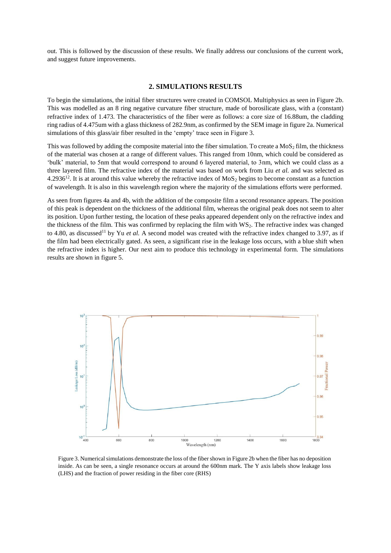out. This is followed by the discussion of these results. We finally address our conclusions of the current work, and suggest future improvements.

### **2. SIMULATIONS RESULTS**

To begin the simulations, the initial fiber structures were created in COMSOL Multiphysics as seen in Figure 2b. This was modelled as an 8 ring negative curvature fiber structure, made of borosilicate glass, with a (constant) refractive index of 1.473. The characteristics of the fiber were as follows: a core size of 16.88um, the cladding ring radius of 4.475um with a glass thickness of 282.9nm, as confirmed by the SEM image in figure 2a. Numerical simulations of this glass/air fiber resulted in the 'empty' trace seen in Figure 3.

This was followed by adding the composite material into the fiber simulation. To create a  $MoS<sub>2</sub>$  film, the thickness of the material was chosen at a range of different values. This ranged from 10nm, which could be considered as 'bulk' material, to 5nm that would correspond to around 6 layered material, to 3nm, which we could class as a three layered film. The refractive index of the material was based on work from Liu *et al.* and was selected as 4.2936<sup>12</sup>. It is at around this value whereby the refractive index of  $MoS<sub>2</sub>$  begins to become constant as a function of wavelength. It is also in this wavelength region where the majority of the simulations efforts were performed.

As seen from figures 4a and 4b, with the addition of the composite film a second resonance appears. The position of this peak is dependent on the thickness of the additional film, whereas the original peak does not seem to alter its position. Upon further testing, the location of these peaks appeared dependent only on the refractive index and the thickness of the film. This was confirmed by replacing the film with WS2. The refractive index was changed to 4.80, as discussed<sup>11</sup> by Yu *et al.* A second model was created with the refractive index changed to 3.97, as if the film had been electrically gated. As seen, a significant rise in the leakage loss occurs, with a blue shift when the refractive index is higher. Our next aim to produce this technology in experimental form. The simulations results are shown in figure 5.



Figure 3. Numerical simulations demonstrate the loss of the fiber shown in Figure 2b when the fiber has no deposition inside. As can be seen, a single resonance occurs at around the 600nm mark. The Y axis labels show leakage loss (LHS) and the fraction of power residing in the fiber core (RHS)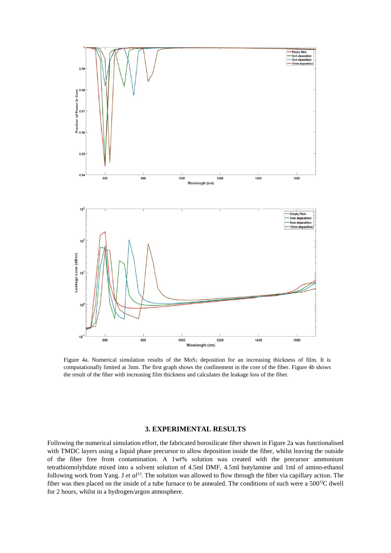

Figure 4a. Numerical simulation results of the MoS<sub>2</sub> deposition for an increasing thickness of film. It is computationally limited at 3nm. The first graph shows the confinement in the core of the fiber. Figure 4b shows the result of the fiber with increasing film thickness and calculates the leakage loss of the fiber.

## **3. EXPERIMENTAL RESULTS**

Following the numerical simulation effort, the fabricated borosilicate fiber shown in Figure 2a was functionalised with TMDC layers using a liquid phase precursor to allow deposition inside the fiber, whilst leaving the outside of the fiber free from contamination. A 1wt% solution was created with the precursor ammonium tetrathiomolybdate mixed into a solvent solution of 4.5ml DMF, 4.5ml butylamine and 1ml of amino-ethanol following work from Yang. J *et al*<sup>13</sup>. The solution was allowed to flow through the fiber via capillary action. The fiber was then placed on the inside of a tube furnace to be annealed. The conditions of such were a  $500^{\circ}$ C dwell for 2 hours, whilst in a hydrogen/argon atmosphere.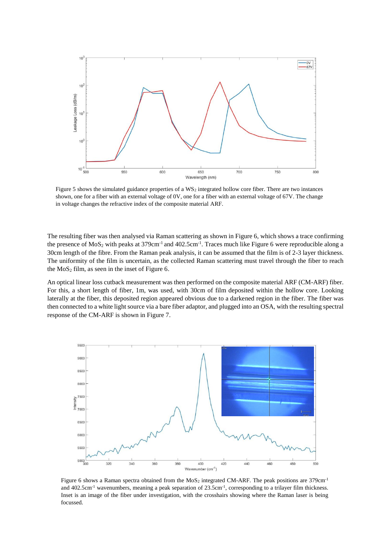

Figure 5 shows the simulated guidance properties of a WS<sub>2</sub> integrated hollow core fiber. There are two instances shown, one for a fiber with an external voltage of 0V, one for a fiber with an external voltage of 67V. The change in voltage changes the refractive index of the composite material ARF.

The resulting fiber was then analysed via Raman scattering as shown in Figure 6, which shows a trace confirming the presence of  $MoS_2$  with peaks at 379cm<sup>-1</sup> and 402.5cm<sup>-1</sup>. Traces much like Figure 6 were reproducible along a 30cm length of the fibre. From the Raman peak analysis, it can be assumed that the film is of 2-3 layer thickness. The uniformity of the film is uncertain, as the collected Raman scattering must travel through the fiber to reach the  $MoS<sub>2</sub>$  film, as seen in the inset of Figure 6.

An optical linear loss cutback measurement was then performed on the composite material ARF (CM-ARF) fiber. For this, a short length of fiber, 1m, was used, with 30cm of film deposited within the hollow core. Looking laterally at the fiber, this deposited region appeared obvious due to a darkened region in the fiber. The fiber was then connected to a white light source via a bare fiber adaptor, and plugged into an OSA, with the resulting spectral response of the CM-ARF is shown in Figure 7.



Figure 6 shows a Raman spectra obtained from the MoS<sub>2</sub> integrated CM-ARF. The peak positions are 379cm<sup>-1</sup> and 402.5cm<sup>-1</sup> wavenumbers, meaning a peak separation of 23.5cm<sup>-1</sup>, corresponding to a trilayer film thickness. Inset is an image of the fiber under investigation, with the crosshairs showing where the Raman laser is being focussed.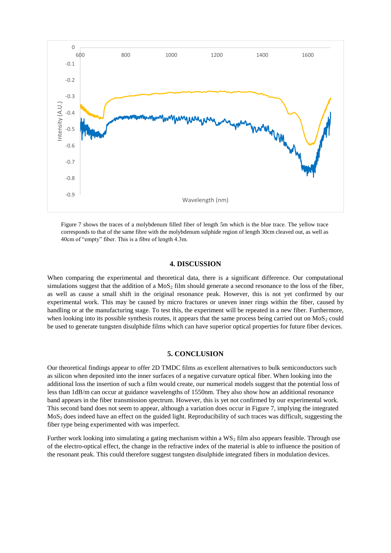

Figure 7 shows the traces of a molybdenum filled fiber of length 5m which is the blue trace. The yellow trace corresponds to that of the same fibre with the molybdenum sulphide region of length 30cm cleaved out, as well as 40cm of "empty" fiber. This is a fibre of length 4.3m.

# **4. DISCUSSION**

When comparing the experimental and theoretical data, there is a significant difference. Our computational simulations suggest that the addition of a  $MoS<sub>2</sub>$  film should generate a second resonance to the loss of the fiber, as well as cause a small shift in the original resonance peak. However, this is not yet confirmed by our experimental work. This may be caused by micro fractures or uneven inner rings within the fiber, caused by handling or at the manufacturing stage. To test this, the experiment will be repeated in a new fiber. Furthermore, when looking into its possible synthesis routes, it appears that the same process being carried out on  $MoS<sub>2</sub>$  could be used to generate tungsten disulphide films which can have superior optical properties for future fiber devices.

#### **5. CONCLUSION**

Our theoretical findings appear to offer 2D TMDC films as excellent alternatives to bulk semiconductors such as silicon when deposited into the inner surfaces of a negative curvature optical fiber. When looking into the additional loss the insertion of such a film would create, our numerical models suggest that the potential loss of less than 1dB/m can occur at guidance wavelengths of 1550nm. They also show how an additional resonance band appears in the fiber transmission spectrum. However, this is yet not confirmed by our experimental work. This second band does not seem to appear, although a variation does occur in Figure 7, implying the integrated MoS<sup>2</sup> does indeed have an effect on the guided light. Reproducibility of such traces was difficult, suggesting the fiber type being experimented with was imperfect.

Further work looking into simulating a gating mechanism within a  $WS_2$  film also appears feasible. Through use of the electro-optical effect, the change in the refractive index of the material is able to influence the position of the resonant peak. This could therefore suggest tungsten disulphide integrated fibers in modulation devices.